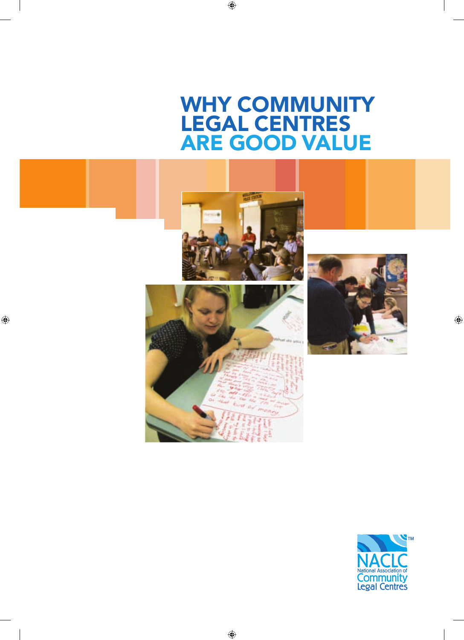# WHY COMMUNITY legal centres are good value



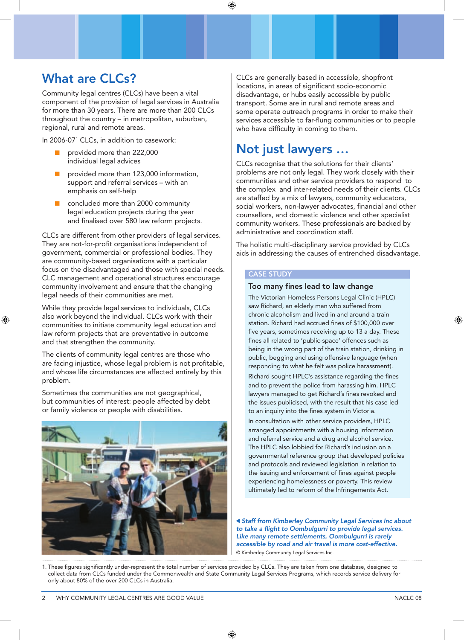### What are CLCs?

Community legal centres (CLCs) have been a vital component of the provision of legal services in Australia for more than 30 years. There are more than 200 CLCs throughout the country – in metropolitan, suburban, regional, rural and remote areas.

In 2006-071 CLCs, in addition to casework:

- provided more than 222,000 individual legal advices
- provided more than 123,000 information, support and referral services – with an emphasis on self-help
- concluded more than 2000 community legal education projects during the year and finalised over 580 law reform projects.

CLCs are different from other providers of legal services. They are not-for-profit organisations independent of government, commercial or professional bodies. They are community-based organisations with a particular focus on the disadvantaged and those with special needs. CLC management and operational structures encourage community involvement and ensure that the changing legal needs of their communities are met.

While they provide legal services to individuals, CLCs also work beyond the individual. CLCs work with their communities to initiate community legal education and law reform projects that are preventative in outcome and that strengthen the community.

The clients of community legal centres are those who are facing injustice, whose legal problem is not profitable, and whose life circumstances are affected entirely by this problem.

Sometimes the communities are not geographical, but communities of interest: people affected by debt or family violence or people with disabilities.



CLCs are generally based in accessible, shopfront locations, in areas of significant socio-economic disadvantage, or hubs easily accessible by public transport. Some are in rural and remote areas and some operate outreach programs in order to make their services accessible to far-flung communities or to people who have difficulty in coming to them.

### Not just lawyers …

CLCs recognise that the solutions for their clients' problems are not only legal. They work closely with their communities and other service providers to respond to the complex and inter-related needs of their clients. CLCs are staffed by a mix of lawyers, community educators, social workers, non-lawyer advocates, financial and other counsellors, and domestic violence and other specialist community workers. These professionals are backed by administrative and coordination staff.

The holistic multi-disciplinary service provided by CLCs aids in addressing the causes of entrenched disadvantage.

#### Case study

#### Too many fines lead to law change

The Victorian Homeless Persons Legal Clinic (HPLC) saw Richard, an elderly man who suffered from chronic alcoholism and lived in and around a train station. Richard had accrued fines of \$100,000 over five years, sometimes receiving up to 13 a day. These fines all related to 'public-space' offences such as being in the wrong part of the train station, drinking in public, begging and using offensive language (when responding to what he felt was police harassment).

Richard sought HPLC's assistance regarding the fines and to prevent the police from harassing him. HPLC lawyers managed to get Richard's fines revoked and the issues publicised, with the result that his case led to an inquiry into the fines system in Victoria.

In consultation with other service providers, HPLC arranged appointments with a housing information and referral service and a drug and alcohol service. The HPLC also lobbied for Richard's inclusion on a governmental reference group that developed policies and protocols and reviewed legislation in relation to the issuing and enforcement of fines against people experiencing homelessness or poverty. This review ultimately led to reform of the Infringements Act.

*Staff from Kimberley Community Legal Services Inc about to take a flight to Oombulgurri to provide legal services. Like many remote settlements, Oombulgurri is rarely accessible by road and air travel is more cost-effective.* © Kimberley Community Legal Services Inc.

1. These figures significantly under-represent the total number of services provided by CLCs. They are taken from one database, designed to collect data from CLCs funded under the Commonwealth and State Community Legal Services Programs, which records service delivery for only about 80% of the over 200 CLCs in Australia.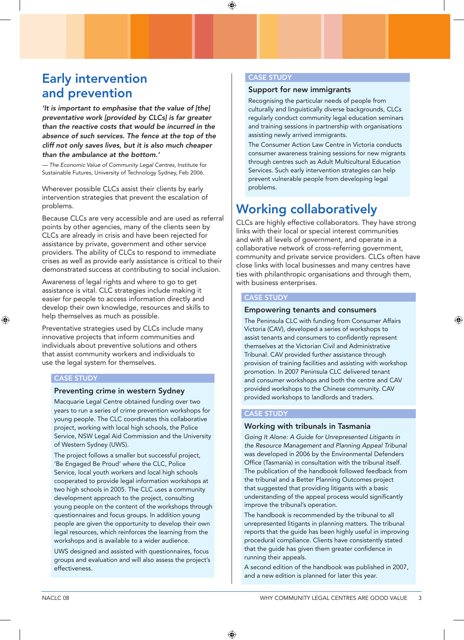### Early intervention and prevention

*'It is important to emphasise that the value of [the] preventative work [provided by CLCs] is far greater than the reactive costs that would be incurred in the absence of such services. The fence at the top of the cliff not only saves lives, but it is also much cheaper than the ambulance at the bottom.'*

*— The Economic Value of Community Legal Centres*, Institute for Sustainable Futures, University of Technology Sydney, Feb 2006.

Wherever possible CLCs assist their clients by early intervention strategies that prevent the escalation of problems.

Because CLCs are very accessible and are used as referral points by other agencies, many of the clients seen by CLCs are already in crisis and have been rejected for assistance by private, government and other service providers. The ability of CLCs to respond to immediate crises as well as provide early assistance is critical to their demonstrated success at contributing to social inclusion.

Awareness of legal rights and where to go to get assistance is vital. CLC strategies include making it easier for people to access information directly and develop their own knowledge, resources and skills to help themselves as much as possible.

Preventative strategies used by CLCs include many innovative projects that inform communities and individuals about preventive solutions and others that assist community workers and individuals to use the legal system for themselves.

#### Case study

#### Preventing crime in western Sydney

Macquarie Legal Centre obtained funding over two years to run a series of crime prevention workshops for young people. The CLC coordinates this collaborative project, working with local high schools, the Police Service, NSW Legal Aid Commission and the University of Western Sydney (UWS).

The project follows a smaller but successful project, 'Be Engaged Be Proud' where the CLC, Police Service, local youth workers and local high schools cooperated to provide legal information workshops at two high schools in 2005. The CLC uses a community development approach to the project, consulting young people on the content of the workshops through questionnaires and focus groups. In addition young people are given the opportunity to develop their own legal resources, which reinforces the learning from the workshops and is available to a wider audience.

UWS designed and assisted with questionnaires, focus groups and evaluation and will also assess the project's effectiveness.

#### Case study

#### Support for new immigrants

Recognising the particular needs of people from culturally and linguistically diverse backgrounds, CLCs regularly conduct community legal education seminars and training sessions in partnership with organisations assisting newly arrived immigrants.

The Consumer Action Law Centre in Victoria conducts consumer awareness training sessions for new migrants through centres such as Adult Multicultural Education Services. Such early intervention strategies can help prevent vulnerable people from developing legal problems.

# Working collaboratively

CLCs are highly effective collaborators. They have strong links with their local or special interest communities and with all levels of government, and operate in a collaborative network of cross-referring government, community and private service providers. CLCs often have close links with local businesses and many centres have ties with philanthropic organisations and through them, with business enterprises.

#### Case study

#### Empowering tenants and consumers

The Peninsula CLC with funding from Consumer Affairs Victoria (CAV), developed a series of workshops to assist tenants and consumers to confidently represent themselves at the Victorian Civil and Administrative Tribunal. CAV provided further assistance through provision of training facilities and assisting with workshop promotion. In 2007 Peninsula CLC delivered tenant and consumer workshops and both the centre and CAV provided workshops to the Chinese community. CAV provided workshops to landlords and traders.

#### **CASE STUDY**

#### Working with tribunals in Tasmania

*Going It Alone: A Guide for Unrepresented Litigants in the Resource Management and Planning Appeal Tribunal* was developed in 2006 by the Environmental Defenders Office (Tasmania) in consultation with the tribunal itself. The publication of the handbook followed feedback from the tribunal and a Better Planning Outcomes project that suggested that providing litigants with a basic understanding of the appeal process would significantly improve the tribunal's operation.

The handbook is recommended by the tribunal to all unrepresented litigants in planning matters. The tribunal reports that the guide has been highly useful in improving procedural compliance. Clients have consistently stated that the guide has given them greater confidence in running their appeals.

A second edition of the handbook was published in 2007, and a new edition is planned for later this year.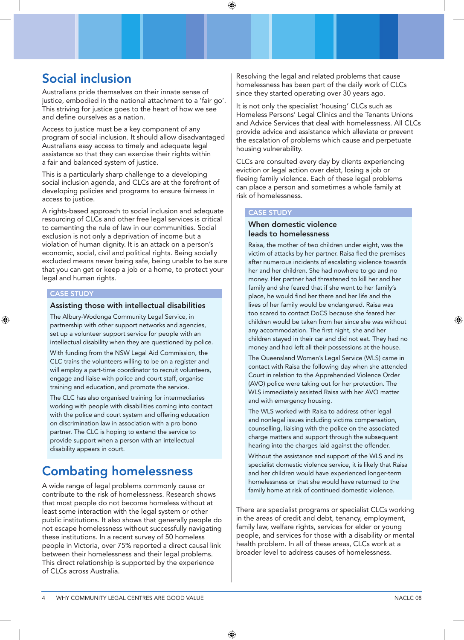### Social inclusion

Australians pride themselves on their innate sense of justice, embodied in the national attachment to a 'fair go'. This striving for justice goes to the heart of how we see and define ourselves as a nation.

Access to justice must be a key component of any program of social inclusion. It should allow disadvantaged Australians easy access to timely and adequate legal assistance so that they can exercise their rights within a fair and balanced system of justice.

This is a particularly sharp challenge to a developing social inclusion agenda, and CLCs are at the forefront of developing policies and programs to ensure fairness in access to justice.

A rights-based approach to social inclusion and adequate resourcing of CLCs and other free legal services is critical to cementing the rule of law in our communities. Social exclusion is not only a deprivation of income but a violation of human dignity. It is an attack on a person's economic, social, civil and political rights. Being socially excluded means never being safe, being unable to be sure that you can get or keep a job or a home, to protect your legal and human rights.

#### Case study

#### Assisting those with intellectual disabilities

The Albury-Wodonga Community Legal Service, in partnership with other support networks and agencies, set up a volunteer support service for people with an intellectual disability when they are questioned by police.

With funding from the NSW Legal Aid Commission, the CLC trains the volunteers willing to be on a register and will employ a part-time coordinator to recruit volunteers, engage and liaise with police and court staff, organise training and education, and promote the service.

The CLC has also organised training for intermediaries working with people with disabilities coming into contact with the police and court system and offering education on discrimination law in association with a pro bono partner. The CLC is hoping to extend the service to provide support when a person with an intellectual disability appears in court.

# Combating homelessness

A wide range of legal problems commonly cause or contribute to the risk of homelessness. Research shows that most people do not become homeless without at least some interaction with the legal system or other public institutions. It also shows that generally people do not escape homelessness without successfully navigating these institutions. In a recent survey of 50 homeless people in Victoria, over 75% reported a direct causal link between their homelessness and their legal problems. This direct relationship is supported by the experience of CLCs across Australia.

Resolving the legal and related problems that cause homelessness has been part of the daily work of CLCs since they started operating over 30 years ago.

It is not only the specialist 'housing' CLCs such as Homeless Persons' Legal Clinics and the Tenants Unions and Advice Services that deal with homelessness. All CLCs provide advice and assistance which alleviate or prevent the escalation of problems which cause and perpetuate housing vulnerability.

CLCs are consulted every day by clients experiencing eviction or legal action over debt, losing a job or fleeing family violence. Each of these legal problems can place a person and sometimes a whole family at risk of homelessness.

#### CASE STUDY

#### When domestic violence leads to homelessness

Raisa, the mother of two children under eight, was the victim of attacks by her partner. Raisa fled the premises after numerous incidents of escalating violence towards her and her children. She had nowhere to go and no money. Her partner had threatened to kill her and her family and she feared that if she went to her family's place, he would find her there and her life and the lives of her family would be endangered. Raisa was too scared to contact DoCS because she feared her children would be taken from her since she was without any accommodation. The first night, she and her children stayed in their car and did not eat. They had no money and had left all their possessions at the house.

The Queensland Women's Legal Service (WLS) came in contact with Raisa the following day when she attended Court in relation to the Apprehended Violence Order (AVO) police were taking out for her protection. The WLS immediately assisted Raisa with her AVO matter and with emergency housing.

The WLS worked with Raisa to address other legal and nonlegal issues including victims compensation, counselling, liaising with the police on the associated charge matters and support through the subsequent hearing into the charges laid against the offender.

Without the assistance and support of the WLS and its specialist domestic violence service, it is likely that Raisa and her children would have experienced longer-term homelessness or that she would have returned to the family home at risk of continued domestic violence.

There are specialist programs or specialist CLCs working in the areas of credit and debt, tenancy, employment, family law, welfare rights, services for elder or young people, and services for those with a disability or mental health problem. In all of these areas, CLCs work at a broader level to address causes of homelessness.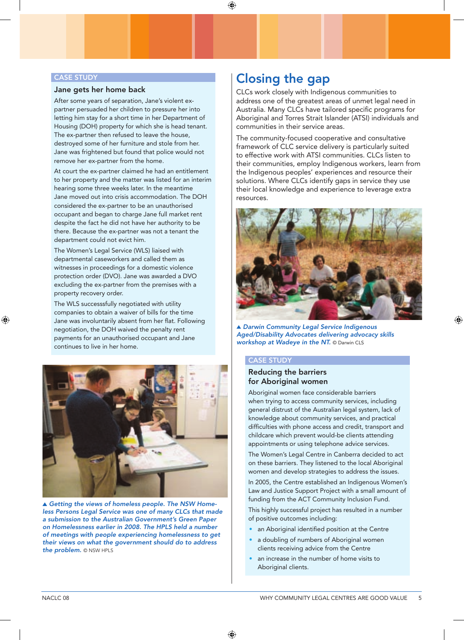#### CASE STUDY **STATE**

#### Jane gets her home back

After some years of separation, Jane's violent expartner persuaded her children to pressure her into letting him stay for a short time in her Department of Housing (DOH) property for which she is head tenant. The ex-partner then refused to leave the house, destroyed some of her furniture and stole from her. Jane was frightened but found that police would not remove her ex-partner from the home.

At court the ex-partner claimed he had an entitlement to her property and the matter was listed for an interim hearing some three weeks later. In the meantime Jane moved out into crisis accommodation. The DOH considered the ex-partner to be an unauthorised occupant and began to charge Jane full market rent despite the fact he did not have her authority to be there. Because the ex-partner was not a tenant the department could not evict him.

The Women's Legal Service (WLS) liaised with departmental caseworkers and called them as witnesses in proceedings for a domestic violence protection order (DVO). Jane was awarded a DVO excluding the ex-partner from the premises with a property recovery order.

The WLS successsfully negotiated with utility companies to obtain a waiver of bills for the time Jane was involuntarily absent from her flat. Following negotiation, the DOH waived the penalty rent payments for an unauthorised occupant and Jane continues to live in her home.



 *Getting the views of homeless people. The NSW Homeless Persons Legal Service was one of many CLCs that made a submission to the Australian Government's Green Paper on Homelessness earlier in 2008. The HPLS held a number of meetings with people experiencing homelessness to get their views on what the government should do to address*  the **problem.** © NSW HPLS

# Closing the gap

CLCs work closely with Indigenous communities to address one of the greatest areas of unmet legal need in Australia. Many CLCs have tailored specific programs for Aboriginal and Torres Strait Islander (ATSI) individuals and communities in their service areas.

The community-focused cooperative and consultative framework of CLC service delivery is particularly suited to effective work with ATSI communities. CLCs listen to their communities, employ Indigenous workers, learn from the Indigenous peoples' experiences and resource their solutions. Where CLCs identify gaps in service they use their local knowledge and experience to leverage extra resources.



*Darwin Community Legal Service Indigenous Aged/Disability Advocates delivering advocacy skills workshop at Wadeye in the NT.* © Darwin CLS

#### Case study

#### Reducing the barriers for Aboriginal women

Aboriginal women face considerable barriers when trying to access community services, including general distrust of the Australian legal system, lack of knowledge about community services, and practical difficulties with phone access and credit, transport and childcare which prevent would-be clients attending appointments or using telephone advice services.

The Women's Legal Centre in Canberra decided to act on these barriers. They listened to the local Aboriginal women and develop strategies to address the issues.

In 2005, the Centre established an Indigenous Women's Law and Justice Support Project with a small amount of funding from the ACT Community Inclusion Fund.

This highly successful project has resulted in a number of positive outcomes including:

- an Aboriginal identified position at the Centre
- a doubling of numbers of Aboriginal women clients receiving advice from the Centre
- an increase in the number of home visits to Aboriginal clients.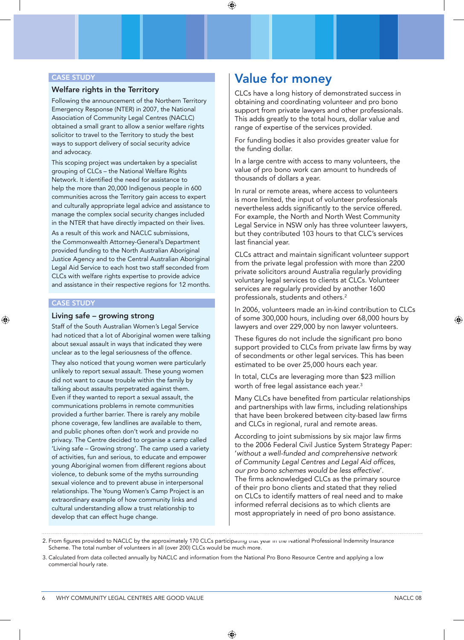#### CASE STUDY

#### Welfare rights in the Territory

Following the announcement of the Northern Territory Emergency Response (NTER) in 2007, the National Association of Community Legal Centres (NACLC) obtained a small grant to allow a senior welfare rights solicitor to travel to the Territory to study the best ways to support delivery of social security advice and advocacy.

This scoping project was undertaken by a specialist grouping of CLCs – the National Welfare Rights Network. It identified the need for assistance to help the more than 20,000 Indigenous people in 600 communities across the Territory gain access to expert and culturally appropriate legal advice and assistance to manage the complex social security changes included in the NTER that have directly impacted on their lives.

As a result of this work and NACLC submissions, the Commonwealth Attorney-General's Department provided funding to the North Australian Aboriginal Justice Agency and to the Central Australian Aboriginal Legal Aid Service to each host two staff seconded from CLCs with welfare rights expertise to provide advice and assistance in their respective regions for 12 months.

#### **CASE STUDY**

#### Living safe – growing strong

Staff of the South Australian Women's Legal Service had noticed that a lot of Aboriginal women were talking about sexual assault in ways that indicated they were unclear as to the legal seriousness of the offence.

They also noticed that young women were particularly unlikely to report sexual assault. These young women did not want to cause trouble within the family by talking about assaults perpetrated against them. Even if they wanted to report a sexual assault, the communications problems in remote communities provided a further barrier. There is rarely any mobile phone coverage, few landlines are available to them, and public phones often don't work and provide no privacy. The Centre decided to organise a camp called 'Living safe – Growing strong'. The camp used a variety of activities, fun and serious, to educate and empower young Aboriginal women from different regions about violence, to debunk some of the myths surrounding sexual violence and to prevent abuse in interpersonal relationships. The Young Women's Camp Project is an extraordinary example of how community links and cultural understanding allow a trust relationship to develop that can effect huge change.

# Value for money

CLCs have a long history of demonstrated success in obtaining and coordinating volunteer and pro bono support from private lawyers and other professionals. This adds greatly to the total hours, dollar value and range of expertise of the services provided.

For funding bodies it also provides greater value for the funding dollar.

In a large centre with access to many volunteers, the value of pro bono work can amount to hundreds of thousands of dollars a year.

In rural or remote areas, where access to volunteers is more limited, the input of volunteer professionals nevertheless adds significantly to the service offered. For example, the North and North West Community Legal Service in NSW only has three volunteer lawyers, but they contributed 103 hours to that CLC's services last financial year.

CLCs attract and maintain significant volunteer support from the private legal profession with more than 2200 private solicitors around Australia regularly providing voluntary legal services to clients at CLCs. Volunteer services are regularly provided by another 1600 professionals, students and others.2

In 2006, volunteers made an in-kind contribution to CLCs of some 300,000 hours, including over 68,000 hours by lawyers and over 229,000 by non lawyer volunteers.

These figures do not include the significant pro bono support provided to CLCs from private law firms by way of secondments or other legal services. This has been estimated to be over 25,000 hours each year.

In total, CLCs are leveraging more than \$23 million worth of free legal assistance each year.<sup>3</sup>

Many CLCs have benefited from particular relationships and partnerships with law firms, including relationships that have been brokered between city-based law firms and CLCs in regional, rural and remote areas.

According to joint submissions by six major law firms to the 2006 Federal Civil Justice System Strategy Paper: '*without a well-funded and comprehensive network of Community Legal Centres and Legal Aid offices, our pro bono schemes would be less effective*'. The firms acknowledged CLCs as the primary source of their pro bono clients and stated that they relied on CLCs to identify matters of real need and to make informed referral decisions as to which clients are most appropriately in need of pro bono assistance.

<sup>2.</sup> From figures provided to NACLC by the approximately 170 CLCs participating that year in the inational Professional Indemnity Insurance Scheme. The total number of volunteers in all (over 200) CLCs would be much more.

<sup>3.</sup> Calculated from data collected annually by NACLC and information from the National Pro Bono Resource Centre and applying a low commercial hourly rate.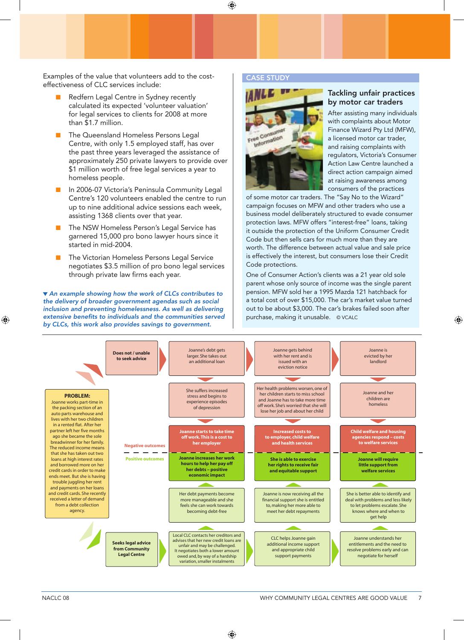Examples of the value that volunteers add to the costeffectiveness of CLC services include:

- Redfern Legal Centre in Sydney recently calculated its expected 'volunteer valuation' for legal services to clients for 2008 at more than \$1.7 million.
- n The Queensland Homeless Persons Legal Centre, with only 1.5 employed staff, has over the past three years leveraged the assistance of approximately 250 private lawyers to provide over \$1 million worth of free legal services a year to homeless people.
- n In 2006-07 Victoria's Peninsula Community Legal Centre's 120 volunteers enabled the centre to run up to nine additional advice sessions each week, assisting 1368 clients over that year.
- The NSW Homeless Person's Legal Service has garnered 15,000 pro bono lawyer hours since it started in mid-2004.
- The Victorian Homeless Persons Legal Service negotiates \$3.5 million of pro bono legal services through private law firms each year.

 *An example showing how the work of CLCs contributes to the delivery of broader government agendas such as social inclusion and preventing homelessness. As well as delivering extensive benefits to individuals and the communities served by CLCs, this work also provides savings to government.*

#### Case study



#### Tackling unfair practices by motor car traders

After assisting many individuals with complaints about Motor Finance Wizard Pty Ltd (MFW), a licensed motor car trader, and raising complaints with regulators, Victoria's Consumer Action Law Centre launched a direct action campaign aimed at raising awareness among consumers of the practices

of some motor car traders. The "Say No to the Wizard" campaign focuses on MFW and other traders who use a business model deliberately structured to evade consumer protection laws. MFW offers "interest-free" loans, taking it outside the protection of the Uniform Consumer Credit Code but then sells cars for much more than they are worth. The difference between actual value and sale price is effectively the interest, but consumers lose their Credit Code protections.

One of Consumer Action's clients was a 21 year old sole parent whose only source of income was the single parent pension. MFW sold her a 1995 Mazda 121 hatchback for a total cost of over \$15,000. The car's market value turned out to be about \$3,000. The car's brakes failed soon after purchase, making it unusable. © VCALC